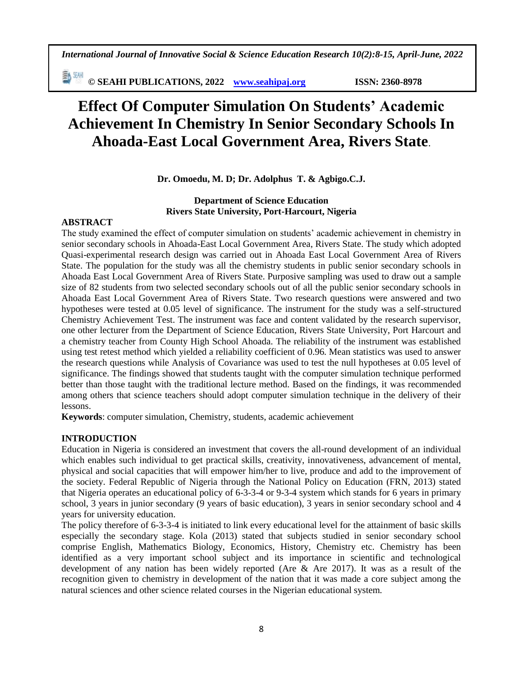*International Journal of Innovative Social & Science Education Research 10(2):8-15, April-June, 2022*

≣∿™ **© SEAHI PUBLICATIONS, 2022 [www.seahipaj.org](http://www.seahipaj.org/) ISSN: 2360-8978**

# **Effect Of Computer Simulation On Students' Academic Achievement In Chemistry In Senior Secondary Schools In Ahoada-East Local Government Area, Rivers State**.

**Dr. Omoedu, M. D; Dr. Adolphus T. & Agbigo.C.J.**

# **Department of Science Education Rivers State University, Port-Harcourt, Nigeria**

#### **ABSTRACT**

The study examined the effect of computer simulation on students' academic achievement in chemistry in senior secondary schools in Ahoada-East Local Government Area, Rivers State. The study which adopted Quasi-experimental research design was carried out in Ahoada East Local Government Area of Rivers State. The population for the study was all the chemistry students in public senior secondary schools in Ahoada East Local Government Area of Rivers State. Purposive sampling was used to draw out a sample size of 82 students from two selected secondary schools out of all the public senior secondary schools in Ahoada East Local Government Area of Rivers State. Two research questions were answered and two hypotheses were tested at 0.05 level of significance. The instrument for the study was a self-structured Chemistry Achievement Test. The instrument was face and content validated by the research supervisor, one other lecturer from the Department of Science Education, Rivers State University, Port Harcourt and a chemistry teacher from County High School Ahoada. The reliability of the instrument was established using test retest method which yielded a reliability coefficient of 0.96. Mean statistics was used to answer the research questions while Analysis of Covariance was used to test the null hypotheses at 0.05 level of significance. The findings showed that students taught with the computer simulation technique performed better than those taught with the traditional lecture method. Based on the findings, it was recommended among others that science teachers should adopt computer simulation technique in the delivery of their lessons.

**Keywords**: computer simulation, Chemistry, students, academic achievement

## **INTRODUCTION**

Education in Nigeria is considered an investment that covers the all-round development of an individual which enables such individual to get practical skills, creativity, innovativeness, advancement of mental, physical and social capacities that will empower him/her to live, produce and add to the improvement of the society. Federal Republic of Nigeria through the National Policy on Education (FRN, 2013) stated that Nigeria operates an educational policy of 6-3-3-4 or 9-3-4 system which stands for 6 years in primary school, 3 years in junior secondary (9 years of basic education), 3 years in senior secondary school and 4 years for university education.

The policy therefore of 6-3-3-4 is initiated to link every educational level for the attainment of basic skills especially the secondary stage. Kola (2013) stated that subjects studied in senior secondary school comprise English, Mathematics Biology, Economics, History, Chemistry etc. Chemistry has been identified as a very important school subject and its importance in scientific and technological development of any nation has been widely reported (Are & Are 2017). It was as a result of the recognition given to chemistry in development of the nation that it was made a core subject among the natural sciences and other science related courses in the Nigerian educational system.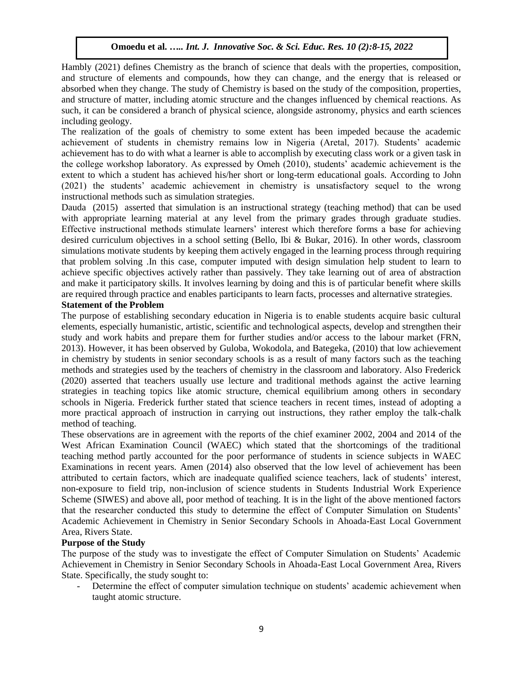Hambly (2021) defines Chemistry as the branch of science that deals with the properties, composition, and structure of elements and compounds, how they can change, and the energy that is released or absorbed when they change. The study of Chemistry is based on the study of the composition, properties, and structure of matter, including atomic structure and the changes influenced by chemical reactions. As such, it can be considered a branch of physical science, alongside astronomy, physics and earth sciences including geology.

The realization of the goals of chemistry to some extent has been impeded because the academic achievement of students in chemistry remains low in Nigeria (Aretal, 2017). Students' academic achievement has to do with what a learner is able to accomplish by executing class work or a given task in the college workshop laboratory. As expressed by Omeh (2010), students' academic achievement is the extent to which a student has achieved his/her short or long-term educational goals. According to John (2021) the students' academic achievement in chemistry is unsatisfactory sequel to the wrong instructional methods such as simulation strategies.

Dauda (2015) asserted that simulation is an instructional strategy (teaching method) that can be used with appropriate learning material at any level from the primary grades through graduate studies. Effective instructional methods stimulate learners' interest which therefore forms a base for achieving desired curriculum objectives in a school setting (Bello, Ibi & Bukar, 2016). In other words, classroom simulations motivate students by keeping them actively engaged in the learning process through requiring that problem solving .In this case, computer imputed with design simulation help student to learn to achieve specific objectives actively rather than passively. They take learning out of area of abstraction and make it participatory skills. It involves learning by doing and this is of particular benefit where skills are required through practice and enables participants to learn facts, processes and alternative strategies.

## **Statement of the Problem**

The purpose of establishing secondary education in Nigeria is to enable students acquire basic cultural elements, especially humanistic, artistic, scientific and technological aspects, develop and strengthen their study and work habits and prepare them for further studies and/or access to the labour market (FRN, 2013). However, it has been observed by Guloba, Wokodola, and Bategeka, (2010) that low achievement in chemistry by students in senior secondary schools is as a result of many factors such as the teaching methods and strategies used by the teachers of chemistry in the classroom and laboratory. Also Frederick (2020) asserted that teachers usually use lecture and traditional methods against the active learning strategies in teaching topics like atomic structure, chemical equilibrium among others in secondary schools in Nigeria. Frederick further stated that science teachers in recent times, instead of adopting a more practical approach of instruction in carrying out instructions, they rather employ the talk-chalk method of teaching.

These observations are in agreement with the reports of the chief examiner 2002, 2004 and 2014 of the West African Examination Council (WAEC) which stated that the shortcomings of the traditional teaching method partly accounted for the poor performance of students in science subjects in WAEC Examinations in recent years. Amen (2014) also observed that the low level of achievement has been attributed to certain factors, which are inadequate qualified science teachers, lack of students' interest, non-exposure to field trip, non-inclusion of science students in Students Industrial Work Experience Scheme (SIWES) and above all, poor method of teaching. It is in the light of the above mentioned factors that the researcher conducted this study to determine the effect of Computer Simulation on Students' Academic Achievement in Chemistry in Senior Secondary Schools in Ahoada-East Local Government Area, Rivers State.

## **Purpose of the Study**

The purpose of the study was to investigate the effect of Computer Simulation on Students' Academic Achievement in Chemistry in Senior Secondary Schools in Ahoada-East Local Government Area, Rivers State. Specifically, the study sought to:

Determine the effect of computer simulation technique on students' academic achievement when taught atomic structure.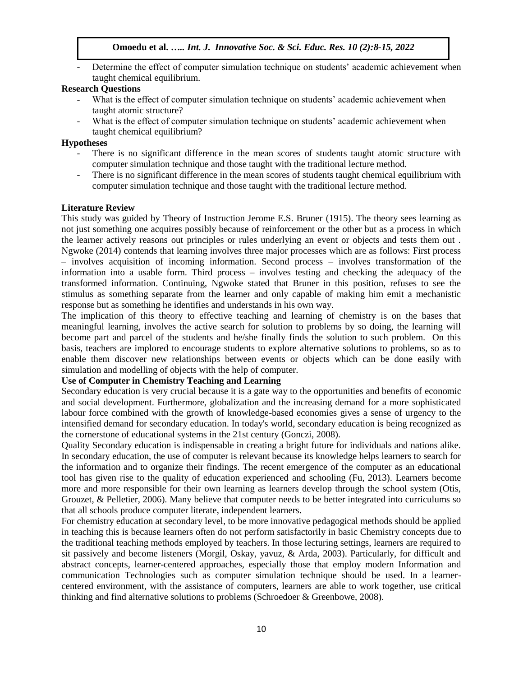Determine the effect of computer simulation technique on students' academic achievement when taught chemical equilibrium.

#### **Research Questions**

- What is the effect of computer simulation technique on students' academic achievement when taught atomic structure?
- What is the effect of computer simulation technique on students' academic achievement when taught chemical equilibrium?

#### **Hypotheses**

- There is no significant difference in the mean scores of students taught atomic structure with computer simulation technique and those taught with the traditional lecture method.
- There is no significant difference in the mean scores of students taught chemical equilibrium with computer simulation technique and those taught with the traditional lecture method.

#### **Literature Review**

This study was guided by Theory of Instruction Jerome E.S. Bruner (1915). The theory sees learning as not just something one acquires possibly because of reinforcement or the other but as a process in which the learner actively reasons out principles or rules underlying an event or objects and tests them out . Ngwoke (2014) contends that learning involves three major processes which are as follows: First process – involves acquisition of incoming information. Second process – involves transformation of the information into a usable form. Third process – involves testing and checking the adequacy of the transformed information. Continuing, Ngwoke stated that Bruner in this position, refuses to see the stimulus as something separate from the learner and only capable of making him emit a mechanistic response but as something he identifies and understands in his own way.

The implication of this theory to effective teaching and learning of chemistry is on the bases that meaningful learning, involves the active search for solution to problems by so doing, the learning will become part and parcel of the students and he/she finally finds the solution to such problem. On this basis, teachers are implored to encourage students to explore alternative solutions to problems, so as to enable them discover new relationships between events or objects which can be done easily with simulation and modelling of objects with the help of computer.

# **Use of Computer in Chemistry Teaching and Learning**

Secondary education is very crucial because it is a gate way to the opportunities and benefits of economic and social development. Furthermore, globalization and the increasing demand for a more sophisticated labour force combined with the growth of knowledge-based economies gives a sense of urgency to the intensified demand for secondary education. In today's world, secondary education is being recognized as the cornerstone of educational systems in the 21st century (Gonczi, 2008).

Quality Secondary education is indispensable in creating a bright future for individuals and nations alike. In secondary education, the use of computer is relevant because its knowledge helps learners to search for the information and to organize their findings. The recent emergence of the computer as an educational tool has given rise to the quality of education experienced and schooling (Fu, 2013). Learners become more and more responsible for their own learning as learners develop through the school system (Otis, Grouzet, & Pelletier, 2006). Many believe that computer needs to be better integrated into curriculums so that all schools produce computer literate, independent learners.

For chemistry education at secondary level, to be more innovative pedagogical methods should be applied in teaching this is because learners often do not perform satisfactorily in basic Chemistry concepts due to the traditional teaching methods employed by teachers. In those lecturing settings, learners are required to sit passively and become listeners (Morgil, Oskay, yavuz, & Arda, 2003). Particularly, for difficult and abstract concepts, learner-centered approaches, especially those that employ modern Information and communication Technologies such as computer simulation technique should be used. In a learnercentered environment, with the assistance of computers, learners are able to work together, use critical thinking and find alternative solutions to problems (Schroedoer & Greenbowe, 2008).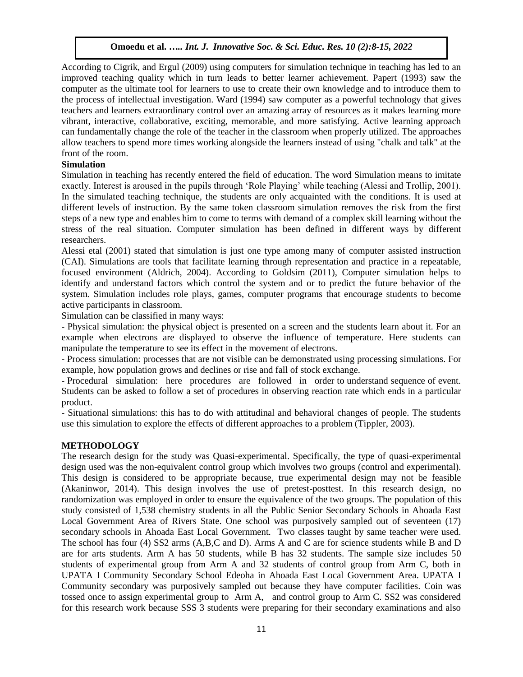According to Cigrik, and Ergul (2009) using computers for simulation technique in teaching has led to an improved teaching quality which in turn leads to better learner achievement. Papert (1993) saw the computer as the ultimate tool for learners to use to create their own knowledge and to introduce them to the process of intellectual investigation. Ward (1994) saw computer as a powerful technology that gives teachers and learners extraordinary control over an amazing array of resources as it makes learning more vibrant, interactive, collaborative, exciting, memorable, and more satisfying. Active learning approach can fundamentally change the role of the teacher in the classroom when properly utilized. The approaches allow teachers to spend more times working alongside the learners instead of using "chalk and talk" at the front of the room.

## **Simulation**

Simulation in teaching has recently entered the field of education. The word Simulation means to imitate exactly. Interest is aroused in the pupils through 'Role Playing' while teaching (Alessi and Trollip, 2001). In the simulated teaching technique, the students are only acquainted with the conditions. It is used at different levels of instruction. By the same token classroom simulation removes the risk from the first steps of a new type and enables him to come to terms with demand of a complex skill learning without the stress of the real situation. Computer simulation has been defined in different ways by different researchers.

Alessi etal (2001) stated that simulation is just one type among many of computer assisted instruction (CAI). Simulations are tools that facilitate learning through representation and practice in a repeatable, focused environment (Aldrich, 2004). According to Goldsim (2011), Computer simulation helps to identify and understand factors which control the system and or to predict the future behavior of the system. Simulation includes role plays, games, computer programs that encourage students to become active participants in classroom.

Simulation can be classified in many ways:

- Physical simulation: the physical object is presented on a screen and the students learn about it. For an example when electrons are displayed to observe the influence of temperature. Here students can manipulate the temperature to see its effect in the movement of electrons.

- Process simulation: processes that are not visible can be demonstrated using processing simulations. For example, how population grows and declines or rise and fall of stock exchange.

- Procedural simulation: here procedures are followed in order to understand sequence of event. Students can be asked to follow a set of procedures in observing reaction rate which ends in a particular product.

- Situational simulations: this has to do with attitudinal and behavioral changes of people. The students use this simulation to explore the effects of different approaches to a problem (Tippler, 2003).

#### **METHODOLOGY**

The research design for the study was Quasi-experimental. Specifically, the type of quasi-experimental design used was the non-equivalent control group which involves two groups (control and experimental). This design is considered to be appropriate because, true experimental design may not be feasible (Akaninwor, 2014). This design involves the use of pretest-posttest. In this research design, no randomization was employed in order to ensure the equivalence of the two groups. The population of this study consisted of 1,538 chemistry students in all the Public Senior Secondary Schools in Ahoada East Local Government Area of Rivers State. One school was purposively sampled out of seventeen (17) secondary schools in Ahoada East Local Government. Two classes taught by same teacher were used. The school has four (4) SS2 arms (A,B,C and D). Arms A and C are for science students while B and D are for arts students. Arm A has 50 students, while B has 32 students. The sample size includes 50 students of experimental group from Arm A and 32 students of control group from Arm C, both in UPATA I Community Secondary School Edeoha in Ahoada East Local Government Area. UPATA I Community secondary was purposively sampled out because they have computer facilities. Coin was tossed once to assign experimental group to Arm A, and control group to Arm C. SS2 was considered for this research work because SSS 3 students were preparing for their secondary examinations and also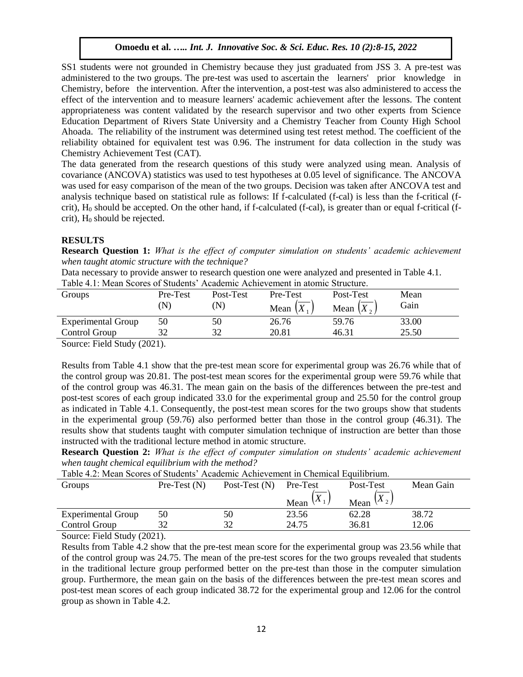SS1 students were not grounded in Chemistry because they just graduated from JSS 3. A pre-test was administered to the two groups. The pre-test was used to ascertain the learners' prior knowledge in Chemistry, before the intervention. After the intervention, a post-test was also administered to access the effect of the intervention and to measure learners' academic achievement after the lessons. The content appropriateness was content validated by the research supervisor and two other experts from Science Education Department of Rivers State University and a Chemistry Teacher from County High School Ahoada. The reliability of the instrument was determined using test retest method. The coefficient of the reliability obtained for equivalent test was 0.96. The instrument for data collection in the study was Chemistry Achievement Test (CAT).

The data generated from the research questions of this study were analyzed using mean. Analysis of covariance (ANCOVA) statistics was used to test hypotheses at 0.05 level of significance. The ANCOVA was used for easy comparison of the mean of the two groups. Decision was taken after ANCOVA test and analysis technique based on statistical rule as follows: If f-calculated (f-cal) is less than the f-critical (fcrit),  $H_0$  should be accepted. On the other hand, if f-calculated (f-cal), is greater than or equal f-critical (fcrit),  $H_0$  should be rejected.

## **RESULTS**

**Research Question 1:** *What is the effect of computer simulation on students' academic achievement when taught atomic structure with the technique?*

Data necessary to provide answer to research question one were analyzed and presented in Table 4.1. Table 4.1: Mean Scores of Students' Academic Achievement in atomic Structure.

| Tuoto 1.1. Morti poolos ol pragonis "Torgoniio". Ionio (Chioni in aronno pri aorato) |          |           |                       |              |       |
|--------------------------------------------------------------------------------------|----------|-----------|-----------------------|--------------|-------|
| Groups                                                                               | Pre-Test | Post-Test | Pre-Test              | Post-Test    | Mean  |
|                                                                                      |          |           | Mean $\left X\right $ | Mean $X_2$ . | Gain  |
| <b>Experimental Group</b>                                                            | 50       | 50        | 26.76                 | 59.76        | 33.00 |
| Control Group                                                                        |          | 37        | 20.81                 | 46.31        | 25.50 |
| $\sim$<br>$\sqrt{2}$ $\sqrt{2}$ $\sqrt{2}$                                           |          |           |                       |              |       |

Source: Field Study (2021).

Results from Table 4.1 show that the pre-test mean score for experimental group was 26.76 while that of the control group was 20.81. The post-test mean scores for the experimental group were 59.76 while that of the control group was 46.31. The mean gain on the basis of the differences between the pre-test and post-test scores of each group indicated 33.0 for the experimental group and 25.50 for the control group as indicated in Table 4.1. Consequently, the post-test mean scores for the two groups show that students in the experimental group (59.76) also performed better than those in the control group (46.31). The results show that students taught with computer simulation technique of instruction are better than those instructed with the traditional lecture method in atomic structure.

**Research Question 2:** *What is the effect of computer simulation on students' academic achievement when taught chemical equilibrium with the method?* 

| Table 4.2. Mean Scores of Students Academic Achievement in Chemical Equilibrium. |               |                          |                        |              |           |
|----------------------------------------------------------------------------------|---------------|--------------------------|------------------------|--------------|-----------|
| Groups                                                                           | $Pre-Test(N)$ | Post-Test $(N)$ Pre-Test |                        | Post-Test    | Mean Gain |
|                                                                                  |               |                          | Mean $\mathcal{A}_{1}$ | Mean $(X_2)$ |           |
| <b>Experimental Group</b>                                                        | 50            | 50                       | 23.56                  | 62.28        | 38.72     |
| Control Group                                                                    |               | 32                       | 24.75                  | 36.81        | 12.06     |

Table 4.2: Mean Scores of Students' Academic Achievement in Chemical Equilibrium.

Source: Field Study (2021).

Results from Table 4.2 show that the pre-test mean score for the experimental group was 23.56 while that of the control group was 24.75. The mean of the pre-test scores for the two groups revealed that students in the traditional lecture group performed better on the pre-test than those in the computer simulation group. Furthermore, the mean gain on the basis of the differences between the pre-test mean scores and post-test mean scores of each group indicated 38.72 for the experimental group and 12.06 for the control group as shown in Table 4.2.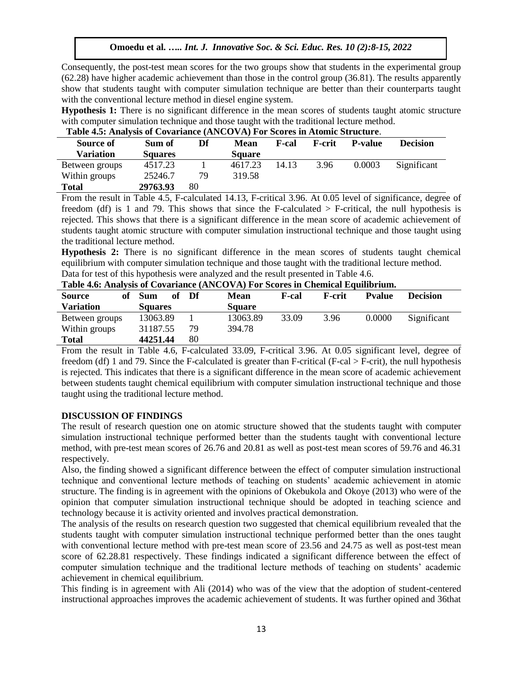Consequently, the post-test mean scores for the two groups show that students in the experimental group (62.28) have higher academic achievement than those in the control group (36.81). The results apparently show that students taught with computer simulation technique are better than their counterparts taught with the conventional lecture method in diesel engine system.

**Hypothesis 1:** There is no significant difference in the mean scores of students taught atomic structure with computer simulation technique and those taught with the traditional lecture method.

| Table 4.3. Analysis of Covariance (AlvCOVA) Fur Scores in Atomic Structure. |                |    |               |       |                |                |                 |
|-----------------------------------------------------------------------------|----------------|----|---------------|-------|----------------|----------------|-----------------|
| Source of                                                                   | Sum of         | Df | <b>Mean</b>   | F-cal | <b>F</b> -crit | <b>P-value</b> | <b>Decision</b> |
| <b>Variation</b>                                                            | <b>Squares</b> |    | <b>Square</b> |       |                |                |                 |
| Between groups                                                              | 4517.23        |    | 4617.23       | 14.13 | 3.96           | 0.0003         | Significant     |
| Within groups                                                               | 25246.7        | 79 | 319.58        |       |                |                |                 |
| Total                                                                       | 29763.93       | 80 |               |       |                |                |                 |

# **Table 4.5: Analysis of Covariance (ANCOVA) For Scores in Atomic Structure**.

From the result in Table 4.5, F-calculated 14.13, F-critical 3.96. At 0.05 level of significance, degree of freedom (df) is 1 and 79. This shows that since the F-calculated  $>$  F-critical, the null hypothesis is rejected. This shows that there is a significant difference in the mean score of academic achievement of students taught atomic structure with computer simulation instructional technique and those taught using the traditional lecture method.

**Hypothesis 2:** There is no significant difference in the mean scores of students taught chemical equilibrium with computer simulation technique and those taught with the traditional lecture method. Data for test of this hypothesis were analyzed and the result presented in Table 4.6.

| Table 4.0. Analysis of Coval lance (AlvCOVA) For Scores in Chemical Equinibilium. |                  |      |               |       |                |               |                 |
|-----------------------------------------------------------------------------------|------------------|------|---------------|-------|----------------|---------------|-----------------|
| <b>Source</b><br>of                                                               | <b>Sum</b><br>oť | - Df | Mean          | F-cal | <b>F</b> -crit | <b>Pyalue</b> | <b>Decision</b> |
| <b>Variation</b>                                                                  | <b>Squares</b>   |      | <b>Square</b> |       |                |               |                 |
| Between groups                                                                    | 13063.89         |      | 13063.89      | 33.09 | 3.96           | 0.0000        | Significant     |
| Within groups                                                                     | 31187.55         | 79   | 394.78        |       |                |               |                 |
| <b>Total</b>                                                                      | 44251.44         | 80   |               |       |                |               |                 |

|  |  |  | Table 4.6: Analysis of Covariance (ANCOVA) For Scores in Chemical Equilibrium. |
|--|--|--|--------------------------------------------------------------------------------|
|--|--|--|--------------------------------------------------------------------------------|

From the result in Table 4.6, F-calculated 33.09, F-critical 3.96. At 0.05 significant level, degree of freedom (df) 1 and 79. Since the F-calculated is greater than F-critical (F-cal > F-crit), the null hypothesis is rejected. This indicates that there is a significant difference in the mean score of academic achievement between students taught chemical equilibrium with computer simulation instructional technique and those taught using the traditional lecture method.

## **DISCUSSION OF FINDINGS**

The result of research question one on atomic structure showed that the students taught with computer simulation instructional technique performed better than the students taught with conventional lecture method, with pre-test mean scores of 26.76 and 20.81 as well as post-test mean scores of 59.76 and 46.31 respectively.

Also, the finding showed a significant difference between the effect of computer simulation instructional technique and conventional lecture methods of teaching on students' academic achievement in atomic structure. The finding is in agreement with the opinions of Okebukola and Okoye (2013) who were of the opinion that computer simulation instructional technique should be adopted in teaching science and technology because it is activity oriented and involves practical demonstration.

The analysis of the results on research question two suggested that chemical equilibrium revealed that the students taught with computer simulation instructional technique performed better than the ones taught with conventional lecture method with pre-test mean score of 23.56 and 24.75 as well as post-test mean score of 62.28.81 respectively. These findings indicated a significant difference between the effect of computer simulation technique and the traditional lecture methods of teaching on students' academic achievement in chemical equilibrium.

This finding is in agreement with Ali (2014) who was of the view that the adoption of student-centered instructional approaches improves the academic achievement of students. It was further opined and 36that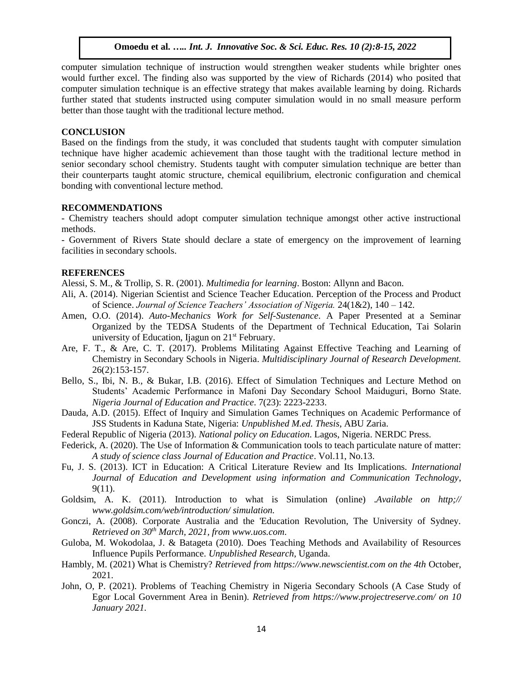computer simulation technique of instruction would strengthen weaker students while brighter ones would further excel. The finding also was supported by the view of Richards (2014) who posited that computer simulation technique is an effective strategy that makes available learning by doing. Richards further stated that students instructed using computer simulation would in no small measure perform better than those taught with the traditional lecture method.

#### **CONCLUSION**

Based on the findings from the study, it was concluded that students taught with computer simulation technique have higher academic achievement than those taught with the traditional lecture method in senior secondary school chemistry. Students taught with computer simulation technique are better than their counterparts taught atomic structure, chemical equilibrium, electronic configuration and chemical bonding with conventional lecture method.

#### **RECOMMENDATIONS**

- Chemistry teachers should adopt computer simulation technique amongst other active instructional methods.

- Government of Rivers State should declare a state of emergency on the improvement of learning facilities in secondary schools.

#### **REFERENCES**

Alessi, S. M., & Trollip, S. R. (2001). *Multimedia for learning*. Boston: Allynn and Bacon.

- Ali, A. (2014). Nigerian Scientist and Science Teacher Education. Perception of the Process and Product of Science. *Journal of Science Teachers' Association of Nigeria.* 24(1&2), 140 – 142.
- Amen, O.O. (2014). *Auto-Mechanics Work for Self-Sustenance*. A Paper Presented at a Seminar Organized by the TEDSA Students of the Department of Technical Education, Tai Solarin university of Education, Ijagun on  $21<sup>st</sup>$  February.
- Are, F. T., & Are, C. T. (2017). Problems Militating Against Effective Teaching and Learning of Chemistry in Secondary Schools in Nigeria. *Multidisciplinary Journal of Research Development.* 26(2):153-157.
- Bello, S., Ibi, N. B., & Bukar, I.B. (2016). Effect of Simulation Techniques and Lecture Method on Students' Academic Performance in Mafoni Day Secondary School Maiduguri, Borno State. *Nigeria Journal of Education and Practice*. 7(23): 2223-2233.
- Dauda, A.D. (2015). Effect of Inquiry and Simulation Games Techniques on Academic Performance of JSS Students in Kaduna State, Nigeria: *Unpublished M.ed. Thesis*, ABU Zaria.
- Federal Republic of Nigeria (2013). *National policy on Education*. Lagos, Nigeria. NERDC Press.
- Federick, A. (2020). The Use of Information & Communication tools to teach particulate nature of matter: *A study of science class Journal of Education and Practice*. Vol.11, No.13.
- Fu, J. S. (2013). ICT in Education: A Critical Literature Review and Its Implications. *International Journal of Education and Development using information and Communication Technology*, 9(11).
- Goldsim, A. K. (2011). Introduction to what is Simulation (online) .*Available on http;// www.goldsim.com/web/introduction/ simulation.*
- Gonczi, A. (2008). Corporate Australia and the 'Education Revolution, The University of Sydney. *Retrieved on 30th March, 2021, fro[m www.uos.com](http://www.uos.com/)*.
- Guloba, M. Wokodolaa, J. & Batageta (2010). Does Teaching Methods and Availability of Resources Influence Pupils Performance. *Unpublished Research,* Uganda.
- Hambly, M. (2021) What is Chemistry? *Retrieved from https://www.newscientist.com on the 4th* October, 2021.
- John, O, P. (2021). Problems of Teaching Chemistry in Nigeria Secondary Schools (A Case Study of Egor Local Government Area in Benin). *Retrieved from https://www.projectreserve.com/ on 10 January 2021.*